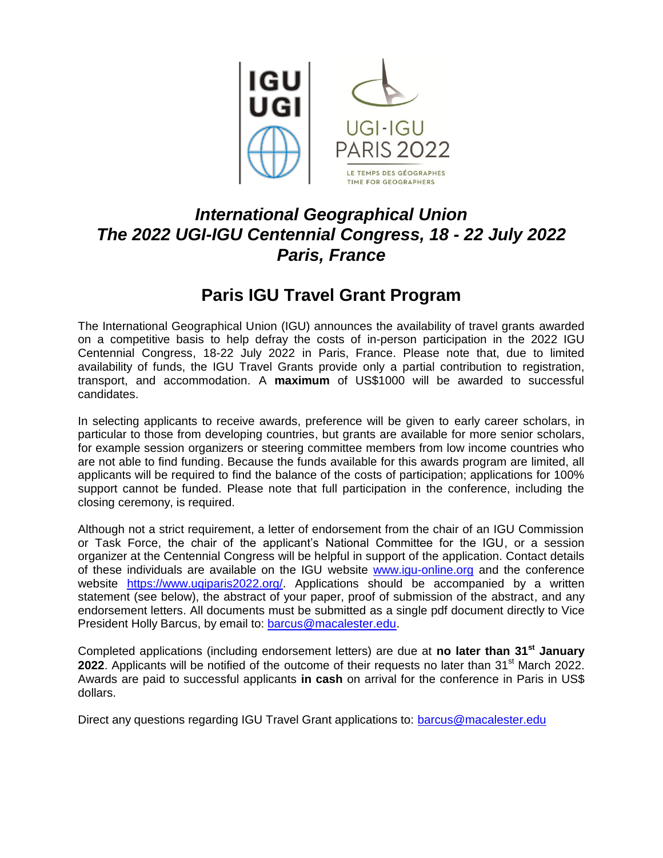

## *International Geographical Union The 2022 UGI-IGU Centennial Congress, 18 - 22 July 2022 Paris, France*

## **Paris IGU Travel Grant Program**

The International Geographical Union (IGU) announces the availability of travel grants awarded on a competitive basis to help defray the costs of in-person participation in the 2022 IGU Centennial Congress, 18-22 July 2022 in Paris, France. Please note that, due to limited availability of funds, the IGU Travel Grants provide only a partial contribution to registration, transport, and accommodation. A **maximum** of US\$1000 will be awarded to successful candidates.

In selecting applicants to receive awards, preference will be given to early career scholars, in particular to those from developing countries, but grants are available for more senior scholars, for example session organizers or steering committee members from low income countries who are not able to find funding. Because the funds available for this awards program are limited, all applicants will be required to find the balance of the costs of participation; applications for 100% support cannot be funded. Please note that full participation in the conference, including the closing ceremony, is required.

Although not a strict requirement, a letter of endorsement from the chair of an IGU Commission or Task Force, the chair of the applicant's National Committee for the IGU, or a session organizer at the Centennial Congress will be helpful in support of the application. Contact details of these individuals are available on the IGU website [www.igu-online.org](http://www.igu-online.org/) and the conference website [https://www.ugiparis2022.org/.](https://www.ugiparis2022.org/) Applications should be accompanied by a written statement (see below), the abstract of your paper, proof of submission of the abstract, and any endorsement letters. All documents must be submitted as a single pdf document directly to Vice President Holly Barcus, by email to: [barcus@macalester.edu.](mailto:barcus@macalester.edu)

Completed applications (including endorsement letters) are due at **no later than 31st January 2022**. Applicants will be notified of the outcome of their requests no later than 31<sup>st</sup> March 2022. Awards are paid to successful applicants **in cash** on arrival for the conference in Paris in US\$ dollars.

Direct any questions regarding IGU Travel Grant applications to: [barcus@macalester.edu](mailto:barcus@macalester.edu)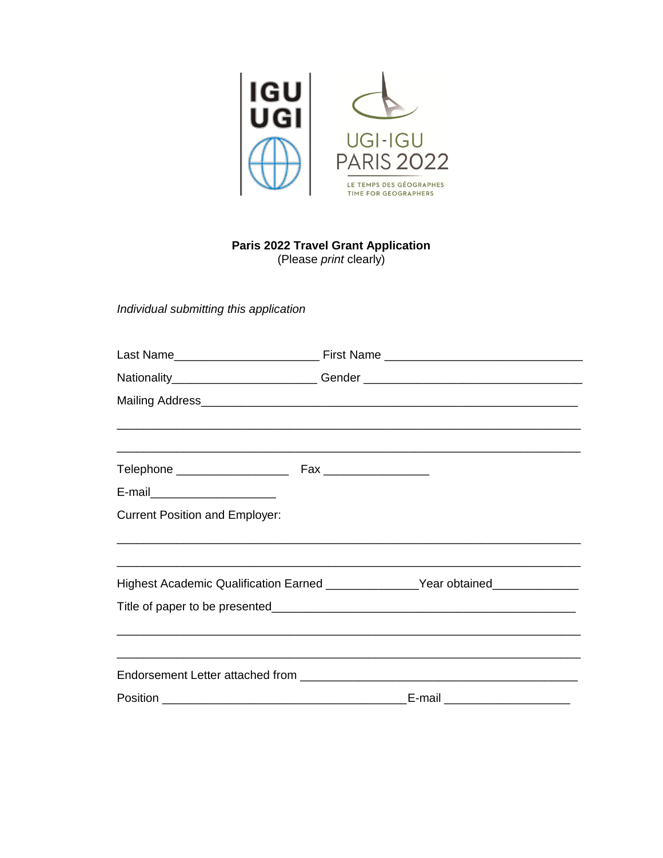

## **Paris 2022 Travel Grant Application**

(Please *print* clearly)

Individual submitting this application

|                                       | Nationality___________________________Gender ___________________________________ |
|---------------------------------------|----------------------------------------------------------------------------------|
|                                       |                                                                                  |
|                                       |                                                                                  |
|                                       |                                                                                  |
| E-mail_______________________         |                                                                                  |
| <b>Current Position and Employer:</b> |                                                                                  |
|                                       |                                                                                  |
|                                       | Highest Academic Qualification Earned ________________Year obtained_____________ |
|                                       |                                                                                  |
|                                       |                                                                                  |
|                                       |                                                                                  |
|                                       | E-mail ________________________                                                  |